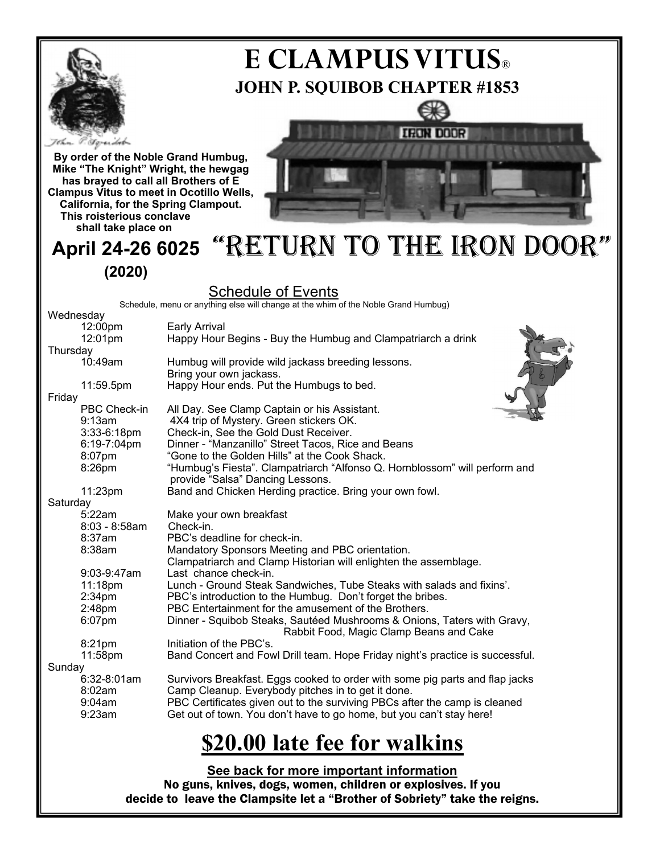

# **JOHN P. SQUIBOB CHAPTER #1853 E CLAMPUS VITUS®**





**shall take place on**

## **April 24-26 6025**  "RETURN TO THE IRON DOOR" **(2020)**

### Schedule of Events

Schedule, menu or anything else will change at the whim of the Noble Grand Humbug)

| Wednesday |                    |                                                                               |
|-----------|--------------------|-------------------------------------------------------------------------------|
|           | 12:00pm            | <b>Early Arrival</b>                                                          |
|           | 12:01pm            | Happy Hour Begins - Buy the Humbug and Clampatriarch a drink                  |
| Thursday  |                    |                                                                               |
|           | 10:49am            | Humbug will provide wild jackass breeding lessons.                            |
|           |                    | Bring your own jackass.                                                       |
|           | 11:59.5pm          | Happy Hour ends. Put the Humbugs to bed.                                      |
| Friday    |                    |                                                                               |
|           | PBC Check-in       | All Day. See Clamp Captain or his Assistant.                                  |
|           | 9:13am             | 4X4 trip of Mystery. Green stickers OK.                                       |
|           | 3:33-6:18pm        | Check-in, See the Gold Dust Receiver.                                         |
|           | 6:19-7:04pm        | Dinner - "Manzanillo" Street Tacos, Rice and Beans                            |
|           | 8:07pm             | "Gone to the Golden Hills" at the Cook Shack.                                 |
|           | 8:26pm             | "Humbug's Fiesta". Clampatriarch "Alfonso Q. Hornblossom" will perform and    |
|           |                    | provide "Salsa" Dancing Lessons.                                              |
|           | 11:23pm            | Band and Chicken Herding practice. Bring your own fowl.                       |
| Saturday  |                    |                                                                               |
|           | 5:22am             | Make your own breakfast                                                       |
|           | $8:03 - 8:58$ am   | Check-in.                                                                     |
|           | 8:37am             | PBC's deadline for check-in.                                                  |
|           | 8:38am             | Mandatory Sponsors Meeting and PBC orientation.                               |
|           |                    | Clampatriarch and Clamp Historian will enlighten the assemblage.              |
|           | 9:03-9:47am        | Last chance check-in.                                                         |
|           | 11:18pm            | Lunch - Ground Steak Sandwiches, Tube Steaks with salads and fixins'.         |
|           | 2:34 <sub>pm</sub> | PBC's introduction to the Humbug. Don't forget the bribes.                    |
|           | 2:48pm             | PBC Entertainment for the amusement of the Brothers.                          |
|           | 6:07pm             | Dinner - Squibob Steaks, Sautéed Mushrooms & Onions, Taters with Gravy,       |
|           |                    | Rabbit Food, Magic Clamp Beans and Cake                                       |
|           | 8:21pm             | Initiation of the PBC's.                                                      |
|           | 11:58pm            | Band Concert and Fowl Drill team. Hope Friday night's practice is successful. |
| Sunday    |                    |                                                                               |
|           | 6:32-8:01am        | Survivors Breakfast. Eggs cooked to order with some pig parts and flap jacks  |
|           | 8:02am             | Camp Cleanup. Everybody pitches in to get it done.                            |
|           | 9:04am             | PBC Certificates given out to the surviving PBCs after the camp is cleaned    |
|           | 9:23am             | Get out of town. You don't have to go home, but you can't stay here!          |
|           |                    |                                                                               |
|           |                    | \$20.00 late fee for walkins                                                  |
|           |                    |                                                                               |
|           |                    | See back for more important information                                       |

No guns, knives, dogs, women, children or explosives. If you decide to leave the Clampsite let a "Brother of Sobriety" take the reigns.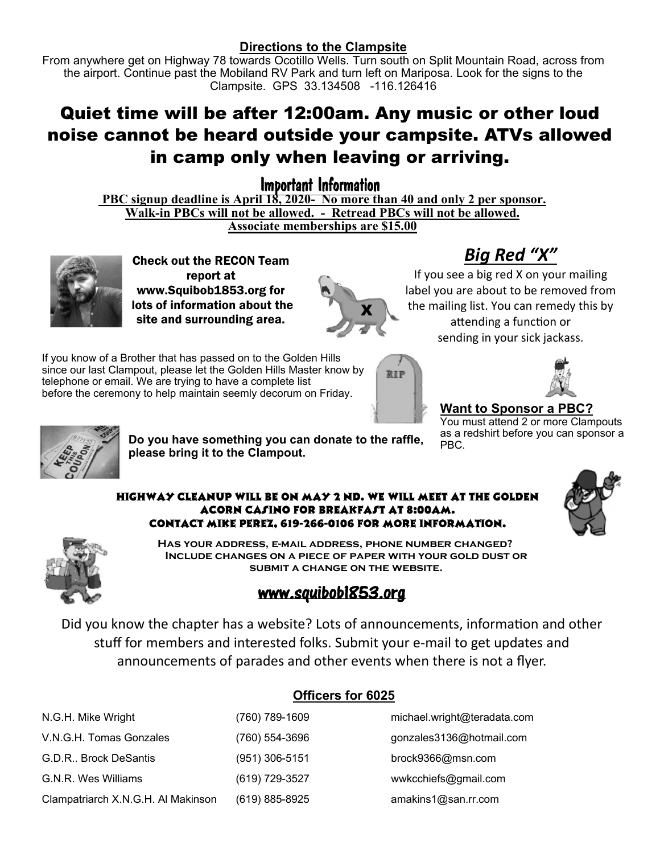#### **Directions to the Clampsite**

From anywhere get on Highway 78 towards Ocotillo Wells. Turn south on Split Mountain Road, across from the airport. Continue past the Mobiland RV Park and turn left on Mariposa. Look for the signs to the Clampsite. GPS 33.134508 -116.126416

## Quiet time will be after 12:00am. Any music or other loud noise cannot be heard outside your campsite. ATVs allowed in camp only when leaving or arriving.

Important Information

PBC signup deadline is April 18, 2020- No more than 40 and only 2 per sponsor. **Walk-in PBCs will not be allowed. - Retread PBCs will not be allowed. Associate memberships are \$15.00** 



Check out the RECON Team report at www.Squibob1853.org for lots of information about the site and surrounding area.



# *Big Red "X"*

If you see a big red X on your mailing label you are about to be removed from the mailing list. You can remedy this by attending a function or sending in your sick jackass.

If you know of a Brother that has passed on to the Golden Hills since our last Clampout, please let the Golden Hills Master know by telephone or email. We are trying to have a complete list before the ceremony to help maintain seemly decorum on Friday.





#### **Want to Sponsor a PBC?**

You must attend 2 or more Clampouts as a redshirt before you can sponsor a PBC.



**Do you have something you can donate to the raffle, please bring it to the Clampout.**

#### Highway Cleanup will be on May 2 nd. We will meet at the Golden Acorn Casino for breakfast at 8:00am. Contact Mike Perez, 619-266-0106 for more Information.





**Has your address, e-mail address, phone number changed? Include changes on a piece of paper with your gold dust or submit a change on the website.** 

### www.squibob1853.org

Did you know the chapter has a website? Lots of announcements, information and other stuff for members and interested folks. Submit your e‐mail to get updates and announcements of parades and other events when there is not a flyer.

| N.G.H. Mike Wright                 | (760) 789-1609   | michael.wright@teradata.com |
|------------------------------------|------------------|-----------------------------|
| V.N.G.H. Tomas Gonzales            | (760) 554-3696   | gonzales3136@hotmail.com    |
| G.D.R., Brock DeSantis             | $(951)$ 306-5151 | brock9366@msn.com           |
| G.N.R. Wes Williams                | (619) 729-3527   | wwkcchiefs@gmail.com        |
| Clampatriarch X.N.G.H. Al Makinson | (619) 885-8925   | amakins1@san.rr.com         |

### **Officers for 6025**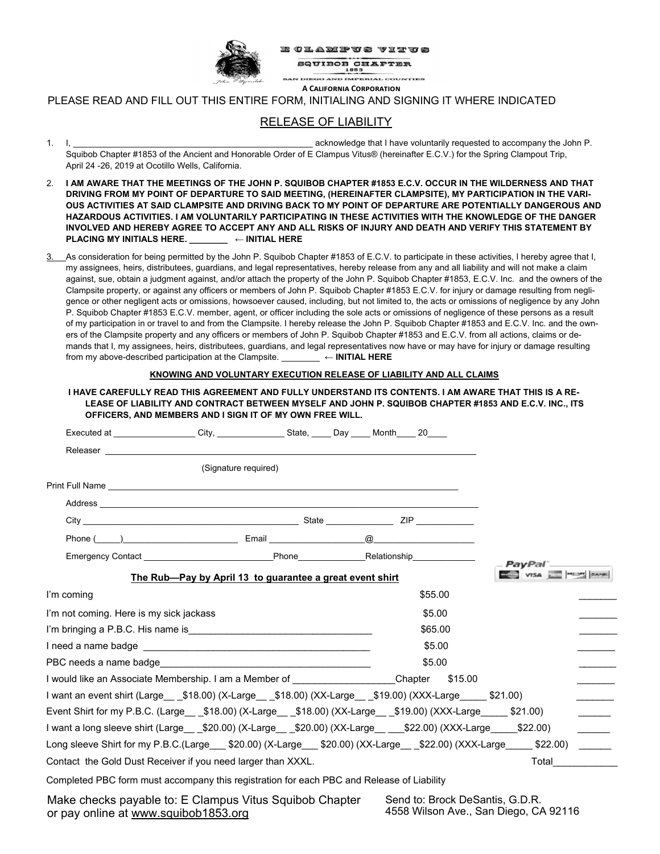

CLAMPUS VITUS **SQUIBOB CHAPTER** 1853

**GO AND IMPERIAL COUNTIES** 

**A CALIFORNIA CORPORATION** 

PLEASE READ AND FILL OUT THIS ENTIRE FORM, INITIALING AND SIGNING IT WHERE INDICATED

#### RELEASE OF LIABILITY

- 1. I, measured acknowledge that I have voluntarily requested to accompany the John P. Squibob Chapter #1853 of the Ancient and Honorable Order of E Clampus Vitus® (hereinafter E.C.V.) for the Spring Clampout Trip, April 24 -26, 2019 at Ocotillo Wells, California.
- 2. **I AM AWARE THAT THE MEETINGS OF THE JOHN P. SQUIBOB CHAPTER #1853 E.C.V. OCCUR IN THE WILDERNESS AND THAT DRIVING FROM MY POINT OF DEPARTURE TO SAID MEETING, (HEREINAFTER CLAMPSITE), MY PARTICIPATION IN THE VARI-OUS ACTIVITIES AT SAID CLAMPSITE AND DRIVING BACK TO MY POINT OF DEPARTURE ARE POTENTIALLY DANGEROUS AND HAZARDOUS ACTIVITIES. I AM VOLUNTARILY PARTICIPATING IN THESE ACTIVITIES WITH THE KNOWLEDGE OF THE DANGER INVOLVED AND HEREBY AGREE TO ACCEPT ANY AND ALL RISKS OF INJURY AND DEATH AND VERIFY THIS STATEMENT BY PLACING MY INITIALS HERE. \_\_\_\_\_\_\_\_ ← INITIAL HERE**
- 3. As consideration for being permitted by the John P. Squibob Chapter #1853 of E.C.V. to participate in these activities, I hereby agree that I, my assignees, heirs, distributees, guardians, and legal representatives, hereby release from any and all liability and will not make a claim against, sue, obtain a judgment against, and/or attach the property of the John P. Squibob Chapter #1853, E.C.V. Inc. and the owners of the Clampsite property, or against any officers or members of John P. Squibob Chapter #1853 E.C.V. for injury or damage resulting from negligence or other negligent acts or omissions, howsoever caused, including, but not limited to, the acts or omissions of negligence by any John P. Squibob Chapter #1853 E.C.V. member, agent, or officer including the sole acts or omissions of negligence of these persons as a result of my participation in or travel to and from the Clampsite. I hereby release the John P. Squibob Chapter #1853 and E.C.V. Inc. and the owners of the Clampsite property and any officers or members of John P. Squibob Chapter #1853 and E.C.V. from all actions, claims or demands that I, my assignees, heirs, distributees, guardians, and legal representatives now have or may have for injury or damage resulting from my above-described participation at the Clampsite. \_\_\_\_\_\_\_\_ **← INITIAL HERE**

|                                                                                                                                                                                                                                                                                   | KNOWING AND VOLUNTARY EXECUTION RELEASE OF LIABILITY AND ALL CLAIMS |         |         |                                 |  |  |  |  |  |
|-----------------------------------------------------------------------------------------------------------------------------------------------------------------------------------------------------------------------------------------------------------------------------------|---------------------------------------------------------------------|---------|---------|---------------------------------|--|--|--|--|--|
| <u>I HAVE CAREFULLY READ THIS AGREEMENT AND FULLY UNDERSTAND ITS CONTENTS. I AM AWARE THAT THIS IS A RE-</u><br>LEASE OF LIABILITY AND CONTRACT BETWEEN MYSELF AND JOHN P. SQUIBOB CHAPTER #1853 AND E.C.V. INC., ITS<br>OFFICERS, AND MEMBERS AND I SIGN IT OF MY OWN FREE WILL. |                                                                     |         |         |                                 |  |  |  |  |  |
| Executed at _________________City, _______________State, _____ Day _____ Month ____ 20____                                                                                                                                                                                        |                                                                     |         |         |                                 |  |  |  |  |  |
|                                                                                                                                                                                                                                                                                   |                                                                     |         |         |                                 |  |  |  |  |  |
| (Signature required)                                                                                                                                                                                                                                                              |                                                                     |         |         |                                 |  |  |  |  |  |
|                                                                                                                                                                                                                                                                                   |                                                                     |         |         |                                 |  |  |  |  |  |
|                                                                                                                                                                                                                                                                                   |                                                                     |         |         |                                 |  |  |  |  |  |
|                                                                                                                                                                                                                                                                                   |                                                                     |         |         |                                 |  |  |  |  |  |
|                                                                                                                                                                                                                                                                                   |                                                                     |         |         |                                 |  |  |  |  |  |
| Emergency Contact <b>Exercise 2 Contact 1 Contact 2 Contact 2 Contact 2 Contact 2 Contact 2 Contact 2 Contact 2 Contact 2 Contact 2 Contact 2 Contact 2 Contact 2 Contact 2 Contact 2 Contact 2 Contact 2 Contact 2 Contact 2 Co</b>                                              |                                                                     |         |         |                                 |  |  |  |  |  |
|                                                                                                                                                                                                                                                                                   | The Rub-Pay by April 13 to guarantee a great event shirt            |         |         |                                 |  |  |  |  |  |
| I'm coming                                                                                                                                                                                                                                                                        |                                                                     |         | \$55.00 |                                 |  |  |  |  |  |
| I'm not coming. Here is my sick jackass                                                                                                                                                                                                                                           |                                                                     |         | \$5.00  |                                 |  |  |  |  |  |
|                                                                                                                                                                                                                                                                                   |                                                                     | \$65.00 |         |                                 |  |  |  |  |  |
|                                                                                                                                                                                                                                                                                   |                                                                     | \$5.00  |         |                                 |  |  |  |  |  |
| PBC needs a name badge expression and the contract of the state of the state of the state of the state of the state of the state of the state of the state of the state of the state of the state of the state of the state of                                                    |                                                                     | \$5.00  |         |                                 |  |  |  |  |  |
| I would like an Associate Membership. I am a Member of Theorem Chapter \$15.00                                                                                                                                                                                                    |                                                                     |         |         | $\overline{a}$                  |  |  |  |  |  |
| I want an event shirt (Large ___\$18.00) (X-Large ___\$18.00) (XX-Large ___\$19.00) (XXX-Large _____ \$21.00)                                                                                                                                                                     |                                                                     |         |         |                                 |  |  |  |  |  |
|                                                                                                                                                                                                                                                                                   |                                                                     |         |         |                                 |  |  |  |  |  |
| l want a long sleeve shirt (Large___\$20.00) (X-Large__ _\$20.00) (XX-Large__ ___\$22.00) (XXX-Large_ ___\$22.00)                                                                                                                                                                 |                                                                     |         |         | $\overline{\phantom{a}}$        |  |  |  |  |  |
| Long sleeve Shirt for my P.B.C.(Large __ \$20.00) (X-Large __ \$20.00) (XX-Large __ \$22.00) (XXX-Large __ \$22.00)                                                                                                                                                               |                                                                     |         |         |                                 |  |  |  |  |  |
| Contact the Gold Dust Receiver if you need larger than XXXL.                                                                                                                                                                                                                      |                                                                     |         |         | Total <u>International</u>      |  |  |  |  |  |
| Completed PBC form must accompany this registration for each PBC and Release of Liability                                                                                                                                                                                         |                                                                     |         |         |                                 |  |  |  |  |  |
| Make checks payable to: E Clampus Vitus Squibob Chapter                                                                                                                                                                                                                           |                                                                     |         |         | Send to: Brock DeSantis, G.D.R. |  |  |  |  |  |

or pay online at www.squibob1853.org

Send to: Brock DeSantis, G.D.R. 4558 Wilson Ave., San Diego, CA 92116